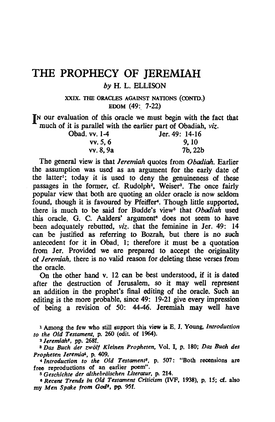# **THE PROPHECY OF JEREMIAH**  *by* H. L. ELlJISON

XXIX. THE ORACLES AGAINST NATIONS (CONTO.) EDOM (49:. 7-22)

**IN** our evaluation of this oracle we must begin with the fact that much of it is parallel with the earlier part of Obadiah, *viz.* 

| Obad. vv. 1-4 | Jer. 49: 14-16 |
|---------------|----------------|
| vv. 5.6       | 9. 10          |
| vv. 8.9a      | $7b$ , 22 $b$  |

The general view is that *Jeremiah* quotes from *Obodiah.* Earlier the assumption was used as an argument for the early date of the latter<sup>1</sup>; today it is used to deny the genuineness of these passages in the former, cf. Rudolph<sup>2</sup>, Weiser<sup>3</sup>. The once fairly popular view that both are quoting an older oracle is now seldom found, though it is favoured by Pfeiffer<sup>4</sup>. Though little supported, there is much to be said for Budde's view<sup>5</sup> that *Obadiah* used this oracle. G. C. Aalders' argument<sup>6</sup> does not seem to have been adequately rebutted, *viz.* that the feminine in Jer. 49: 14 can be justified as referring to Bozrah, but there is no such antecedent for it in Obad. 1; therefore it must be a quotation from Jer. Provided we are prepared to accept the originality of *Jeremiah,* there is no valid reason for deleting these verses from the oracle.

On the other hand v. 12 can be best understood, if it is dated after the destruction of Jerusalem. so it may well represent an addition in the prophet's final editing of the oracle. Such an editing is the more probable, since 49: 19-21 give every impression of being a revision of 50: 44-46. Jeremiah may well have

<sup>1</sup>Among the few who still support this view is E. 1. Young, *Introduction to the Old Testament,* p. 260 (edit. of 1964).

<sup>2</sup>*Jeremiah',* pp. 268f.

<sup>8</sup>*Das Buch der zwolf Kleinen Propheten,* Vol. I, p. 180; *Das BUM des*  Propheten Jeremia<sup>4</sup>, p. 409.

<sup>4</sup>*Introduction to the Old Testament<sup>2</sup>*, p. 507: "Both recensions are free reproductions of an earlier poem".

<sup>5</sup> Geschichte der althebräischen Literatur, p. 214.

<sup>8</sup>*Recent Trends in. Old Testament Criticism* (IVF, 1938). p. IS; cf. also my *Men Spake from God<sup>s</sup>*, pp. 95f.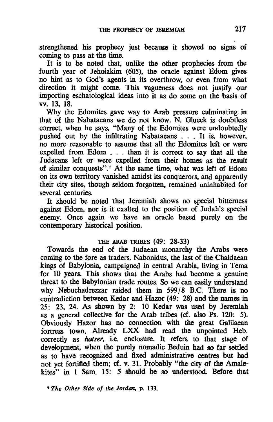strengthened his prophecy just because it showed no signs of coming to pass at the time.

It is to be noted that, unlike the other prophecies from the fourth year of Jehoiakim (605), the oracle against Edom gives no hint as to God's agents in its overthrow. or even from what direction it might come. This vagueness does not justify our importing eschatological ideas into it as do some on the basis of vv. 13. 18.

Why the Edomites gave way to Arab pressure culminating in that of the Nabataeans we do not know. N. Glueck is doubtless correct. when he says. "Many of the Edomites were undoubtedly pushed out by the infiltrating Nabataeans . . . It is, however, no more reasonable to assume that all the Edomites left or were expelled from Edom . . . than it is correct to say that all the Judaeans left or were expelled from their homes as the result of similar conquests".7 At the same time. what was left of Edom on its own territory vanished amidst its conquerors. and apparently their city sites. though seldom forgotten. remained uninhabited for several centuries.

It should be noted that Jeremiah shows no special bitterness against Edom. nor is it exalted to the position of Judah's special enemy. Once again we have an oracle based purely on the contemporary historical position.

## THE ARAB TRIBES (49: 28-33)

Towards the end of the Judaean monarchy the Arabs were coming to the fore as traders. Nabonidus. the last of the Chaldaean kings of Babylonia. campaigned in central Arabia. living in Tema for 10 years. This shows that the Arabs had become a genuine threat to the Babylonian trade routes. So we can easily understand why Nebuchadrezzar raided them in 599/8 B.C. There is no contradiction between Kedar and Hazor (49: 28) and the names in 25: 23. 24. As shown by 2: 10 Kedar was used by Jeremiah as a general collective for the Arab tribes (cf. also Ps. 120: 5). Obviously Hazor has no connection with the great Galilaean fortress town. Already LXX had read the unpointed Heb. correctly as *hatser*, i.e. enclosure. It refers to that stage of development. when the purely nomadic Beduin had so far settled as to have recognized and fixed administrative centres but had not yet fortified them; cf. v. 31. Probably "the city of the Amalekites" in 1 Sam. 15: 5 should be so understood. Before that

7 *The Other Side of the Jordan.* p. 133.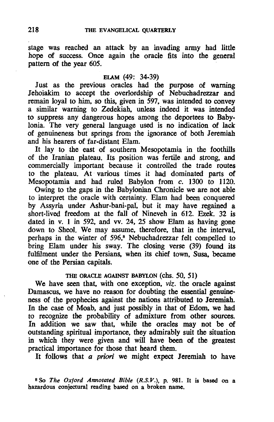stage was reached an attack by an invading army had little hope of success. Once again the oracle fits into the general pattern of the year 605.

### ELAM (49: 34-39)

Just as the previous oracles had the purpose of warning Jehoiakim to accept the overlordship of Nebuchadrezzar and remain loyal to him, so this, given *in* 597, was intended to convey a similar warning to Zedekiah, unless indeed it was intended to suppress any dangerous hopes among the deportees to Babylonia. The very general language used is no indication of lack of genuineness but springs from the ignorance of both Jeremiah and his hearers of far-distant Elam.

It lay to the east of southern Mesopotamia in the foothills of the Iranian plateau. Its position was fertile and strong, and commercially important because it controlled the trade routes to the plateau. At various times it had dominated parts of Mesopotamia and had ruled Babylon from c. 1300 to 1120.

Owing to the gaps in the Babylonian Chronicle we are not able to interpret the oracle with certainty. Elam had been conquered by Assyria under Ashur-bani-pal, but it may have regained a short-lived freedom at the fall of Nineveh *in* 612. Ezek. 32 is dated *in* v. 1 in 592, and vv. 24, 25 show Elam as having gone down to Sheol. We may assume, therefore, that *in* the interval, perhaps *in* the winter of 596,8 Nebuchadrezzar felt compelled to bring Elam under his sway. The closing verse (39) found its fulfilment under the Persians, when *its chief town*, Susa, became one of the Persian capitals.

## THE ORACLE AGAINST BABYLON (chs. 50, 51)

We have seen that, with one exception, *viz.* the oracle against Damascus, we have no reason for doubting the essential genuineness of the prophecies against the nations attributed to Jeremiah. In the case of Moab, and just possibly *in* that of Edom, we had to recognize the probability of admixture from other sources. In addition we saw that, while the oracles may not be of outstanding spiritual importance, they admirably suit the situation in which they were given and will have been of the greatest practical importance for those that heard them.

It follows that a priori we might expect Jeremiah to have

8 So The Oxford Annotated Bible (R.S.V.), p. 981. It is based on a hazardous conjectural reading based on a broken name.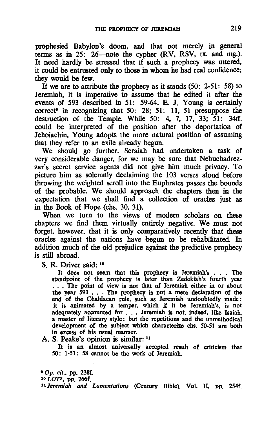prophesied Babylon's doom, and that not merely in general terms as in 25: 26-note the cypher (RV, RSV, tx. and mg.). It need hardly be stressed that if such a prophecy was uttered, it could be entrusted only to those in whom he had real confidence; they would be few.

If we are to attribute the prophecy as it stands  $(50: 2-51: 58)$  to Jeremiah, it is imperative to assume that he edited it after the events of 593 described in 51: 59-64. E. J. Young is certainly correct<sup>®</sup> in recognizing that 50: 28; 51: 11, 51 presuppose the destruction of the Temple. While 50: 4, 7, 17, 33; 51: 34ff. could be interpreted of the position after the deportation of Jehoiachin, Young adopts the more natural position of assuming that they refer to an exile already begun.

We should go further. Seraiah had undertaken a task of very considerable danger, for we may be sure that Nebuchadrezzar's secret service agents did not give him much privacy. To picture him as solemnly declaiming the 103 verses aloud before throwing the weighted scroll into the Euphrates passes the bounds of the probable. We should approach the chapters then in the expectation that we shall find a collection of oracles just as in the Book of Hope (chs. 30, 31).

When we turn to the views of modern scholars on these chapters we find them virtually entirely negative. We must not forget, however, that it is only comparatively recently that these oracles against the nations have begun to be rehabilitated. In addition much of the old prejudice against the predictive prophecy is still abroad.

S. R. Driver said: 10

R. Driver said: <sup>10</sup><br>It does not seem that this prophecy is Jeremiah's . . . The<br>standpoint of the prophecy is later than Zedekiah's fourth year . . . The point of view is not that of Jeremiah either in or about the year *593* . . . The prophecy is not a mere declaration of the end of the Chaldaean rule, such as Jeremiah undoubtedly made: it is animated by a temper, which if it be Jeremiah's, is not adequately accounted for . . . Jeremiah is not, indeed, like Isaiah, a master of literary style: but the repetitions and the unmethodical development of the subject which characterize chs. SO-51 are both in excess of his usual manner.

A. S. Peake's opinion is similar: 11

It is an almost universally accepted result of criticism that SO: 1-51: 58 cannot be the work of Jeremiah.

*'Op. cit.,* pp. 238f.

*<sup>10</sup>*LOT', pp. 266f.

<sup>11</sup> Jeremiah and Lamentations (Century Bible), Vol. II, pp. 254f.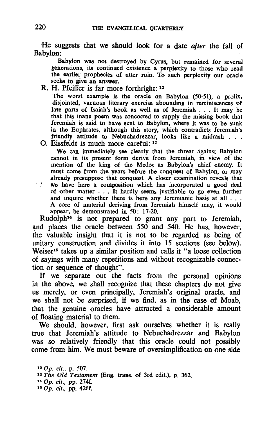He suggests that we should look for a date *after* the fall of Babylon:

Babylon was not destroyed by Cyrus, but remained for several generations, its continued existence a perplexity to thoee who read the earlier prophecies of utter ruin. To such perplexity our oracle seeks to give an answer.

R. H. Pfeiffer is far more forthright: 12

The worst example is the oracle on Babylon (50-51), a prolix, disjointed, vacuous literary exercise abounding in reminiscences of late parts of Isaiah's book as well as of Jeremiah . . . It may be that this inane poem was concocted to supply the missing book that Jeremiah is said to have sent to Babylon, where it was to be sunk in the Euphrates, although this story, which contradicts Jeremiah's friendly attitude to Nebuchadrezzar, looks like a midrash . . .

O. Eissfeldt is much more careful: 13

We can immediately see clearly that the threat against Babylon cannot in its present form derive from Jeremiah, in view of the mention of the king of the Medes as Babylon's chief enemy. It must come from the years before the conquest of Babylon, or may already presuppose that conquest. A closer examination reveals that we have here a composition which has incorporated a good deal of other matter . . . It hardly seems justifiable to go even further and inquire whether there is here any Jeremianic basis at all . . . A core of material deriving from Jeremiah himself may, it would appear, be demonstrated in 50: 17-20.

Rudolph<sup>14</sup> is not prepared to grant any part to Jeremiah, and places the oracle between 550 and 540. He has, however, the valuable insight that it is not to be regarded as being of unitary construction and divides it into 15 sections (see below). Weiser<sup>15</sup> takes up a similar position and calls it "a loose collection of sayings with many repetitions and without recognizable connection or sequence of thought".

If we separate out the facts from the personal opinions in the above, we shall recognize that these chapters do not give us merely, or even principally, Jeremiah's original oracle, and we shall not be surprised, if we find, as in the case of Moab, that the genuine oracles have attracted a considerable amount of floating material to them.

We should, however, first ask ourselves whether it is really true that Jeremiah's attitude to Nebuchadrezzar and Babylon was so relatively friendly that this oracle could not possibly come from him. We must beware of oversimplification on one side

 Op. cit., p. 507. The Old Testament (Eng. trans. of 3rd edit.), p. 362. Op. cif., pp. 274f. 150p. cif., pp. 426f.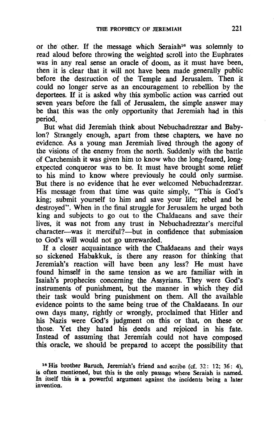or the other. If the message which Seraiah16 was solemnly to read aloud before throwing the weighted scroll into the Euphrates was in any real sense an oracle of doom, as it must have been. then it is clear that it will not have been made generally public before the destruction of the Temple and Jerusalem. Then it could no longer serve as an encouragement to rebellion by the deportees. If it is asked why this symbolic action was carried out seven years before the fall of Jerusalem, the simple answer may be that this was the only opportunity that Jeremiah had in this period.

But what did Jeremiah think about Nebuchadrezzar and Babylon? Strangely enough, apart from these chapters, we have no evidence. As a young man Jeremiah lived through the agony of the visions of the enemy from the north. Suddenly with the battle of Carchemish it was given him to know who the long-feared. long· expected conqueror was to be. It must have brought some relief to his mind to know where· previously he could only surmise. But there is no evidence that he ever welcomed Nebuchadrezzar. His message from that time was quite simply. "This is God's king; submit yourself to him and save your life; rebel and be destroyed". When in the final struggle for Jerusalem he urged both king and subjects to go out to the Chaldaeans and save their lives. it was not from any trust in Nebuchadrezzar's merciful character--was it merciful?--but in confidence that submission to God's will would not go unrewarded.

If a closer acquaintance with the Chaldaeans and their ways so sickened Habakkuk. is there any reason for thinking that Jeremiah's reaction will have been any less? He must have found himself in the same tension as we are familiar with in Isaiah's prophecies concerning the Assyrians. They were God's instruments of punishment, but the manner in which they did their task would bring punishment on them. All the available evidence points to the same being true of the Chaldaeans. In our own days many. rightly or wrongly. proclaimed that Hitler and his Nazis were God's judgment on this or that. on these or those. Yet they hated his deeds and rejoiced in his fate. Instead of assuming that Jeremiah could not have composed this oracle, we should be prepared to accept the possibility that

<sup>16</sup> His brother Baruch, Jeremiah's friend and scribe (cf. 32: 12; 36: 4). is often mentioned, but this is the only passage where Seraiah is named. In itself this is a powerful argument against the incidents being a later invention.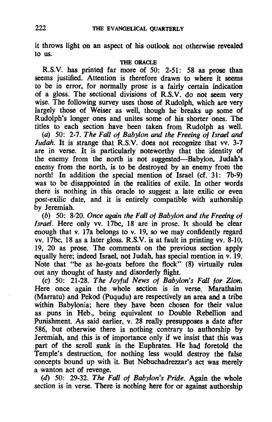it throws light on an aspect of his outlook not otherwise revealed to us.

#### THE ORACLE

R.S.V. has printed far more of 50: 2-51: 58 as prose than seems justified. Attention is therefore drawn to where it seems to be in error, for normally prose is a fairly certain indication of a gloss. The sectional divisions of R.S.V. do not seem very wise. The following survey uses those of Rudolph, which are very largely those of Weiser as well, though he breaks up some of Rudolph's longer ones and unites some of his shorter ones. The titles to each section have been taken from Rudolph as well.

*(a)* 50: 2-7. *The Fall* of *Babylon and the Freeing of Israel and ludah.* It is strange that R.S.V. does not recognize that vv. 3-7 are in verse. It is particularly noteworthy that the identity of the enemy from the north is not suggested-Babylon, Judah's enemy from the north, is to be destroyed by an enemy from the north! In addition the special mention of Israel (cf. 31: 7b-9) was to be disappointed in the realities of exile. In other words there is nothing in this oracle to suggest a late exilic or even post-exilic date, and it is entirely compatible with authorship by Jeremiah.

*(b)* 50: 8-20. *Once again the Fall* of *Babylon and the Freeing* of *Israel.* Here only vv. 17bc, 18 are in prose. It should be clear enough that v. 17a belongs to v. 19, so we may confidently regard vv. 17bc, 18 as a later gloss. R.S.V. is at fault in printing vv. 8-10, 19, 20 as prose. The comments on the previous section apply equally here; indeed Israel, not Judah, has special mention in v. 19. Note that "be as he-goats before the flock" (8) virtually rules out any thought of hasty and disorderly flight.

*(c)* 50: 21-28. *The Joyful News* of *Babylon's Fall for Zion.*  Here once again the whole section is in verse. Marathaim (Marratu) and Pekod (puqudu) are respectively an area and a tribe within Babylonia; here they have been chosen for their value as puns in Heb., being equivalent to Double Rebellion and Punishment. As said earlier, v. 28 really presupposes a date after 586, but otherwise there is nothing contrary to authorship by Jeremiah, and this is of importance only if we insist that this was part of the scroll sunk in the Euphrates. He had foretold the Temple's destruction, for nothing less would destroy the false concepts bound up with it. But Nebuchadrezzar's act was merely a wanton act of revenge.

(d) 50: 29-32. *The Fall* of *Babylon's Pride.* Again the whole section is in verse. There is nothing here for or against authorship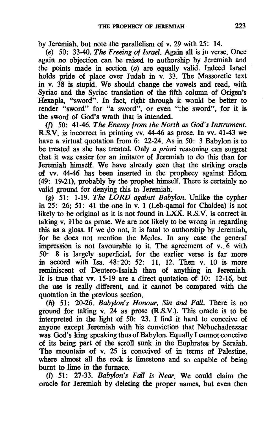by Jeremiah, but note the parallelism of v. 29 with 25: 14.

*(e)* 50: 33-40. *The Freeing of Israel.* Again all is in verse. Once again no objection can be raised to authorship by Jeremiah and the points made in section (a) are equally valid. Indeed Israel holds pride of place over Judah in v. 33. The Massoretic text in v. 38 is stupid. We should change the vowels and read, with Syriac and the Syriac translation of the fifth column of Origen's Hexapla, "sword". In fact, right through it would be better to render "sword" for "a sword", or even "the sword", for it is the sword of God's wrath that is intended.

(f) 50: 41-46. *The Enemy from the North as God's Instrument.*  R.S.V. is incorrect in printing vv. 44-46 as prose. In vv. 41-43 we have a virtual quotation from 6: 22-24. As in 50: 3 Babylon is to be treated as she has treated. Only a priori reasoning can suggest that it was easier for an imitator of Jeremiah to do this than for Jeremiah himself. We have already seen that the striking oracle of vv. 44-46 has been inserted in the prophecy against Edom (49: 19-21), probably by the prophet himself. There is certainly no valid ground for denying this to Jeremiah.

*(g)* 51: 1-19. *The LORD against Babylon.* Unlike the cypher in 25: 26; 51: 41 the one in v. 1 (Leb-qamai for Chaldea) is not likely to be original as it is not found in LXX. R.S.V. is correct in taking v. Hbc 'as prose. We are not likely to be wrong in regarding this as a gloss. If we do not, it is fatal to authorship by Jeremiah, for he does not mention the Medes. In any case the general impression is not favourable to it. The agreement of v. 6 with 50: 8 is largely superficial, for the earlier verse is far more in accord with Isa. 48: 20; 52: 11, 12. Then v. 10 is more reminiscent of Deutero-Isaiah than of anything in Jeremiah. It is true that vv. 15-19 are a direct quotation of 10: 12-16, but the use is really different, and it cannot be compared with the quotation in the previous section.

*(h)* 51: 20-26. *Babylon's Honour, Sin and Fall.* There is no ground for taking v. 24 as prose (R.S.V.). This oracle is to be interpreted in the light of 50: 23. I find it hard to conceive of anyone except Jeremiah with his conviction that Nebuchadrezzar was God's king speaking thus of Babylon. Equally I cannot conceive of its being part of the scroll sunk in the Euphrates by Seraiah. The mountain of v. 25 is conceived of in terms of Palestine, where almost all the rock is limestone and so capable of being burnt to lime in the furnace.

(i) 51: 27-33. *BabY/on's Fall is Near.* We could claim the oracle for Jeremiah by deleting the proper names. but even then